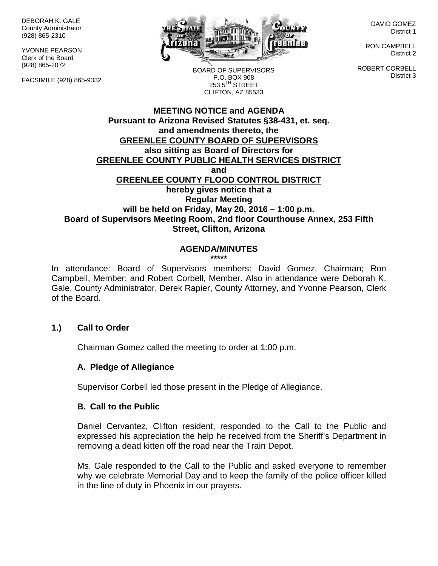DEBORAH K. GALE County Administrator (928) 865-2310

YVONNE PEARSON Clerk of the Board (928) 865-2072

FACSIMILE (928) 865-9332



DAVID GOMEZ District 1

RON CAMPBELL District 2

ROBERT CORBELL District 3

BOARD OF SUPERVISORS P.O. BOX 908  $253.5$ <sup>TH</sup> STREET CLIFTON, AZ 85533

### **MEETING NOTICE and AGENDA Pursuant to Arizona Revised Statutes §38-431, et. seq. and amendments thereto, the GREENLEE COUNTY BOARD OF SUPERVISORS also sitting as Board of Directors for GREENLEE COUNTY PUBLIC HEALTH SERVICES DISTRICT and GREENLEE COUNTY FLOOD CONTROL DISTRICT hereby gives notice that a Regular Meeting will be held on Friday, May 20, 2016 – 1:00 p.m. Board of Supervisors Meeting Room, 2nd floor Courthouse Annex, 253 Fifth Street, Clifton, Arizona**

# **AGENDA/MINUTES**

**\*\*\*\*\***

In attendance: Board of Supervisors members: David Gomez, Chairman; Ron Campbell, Member; and Robert Corbell, Member. Also in attendance were Deborah K. Gale, County Administrator, Derek Rapier, County Attorney, and Yvonne Pearson, Clerk of the Board.

### **1.) Call to Order**

Chairman Gomez called the meeting to order at 1:00 p.m.

#### **A. Pledge of Allegiance**

Supervisor Corbell led those present in the Pledge of Allegiance.

#### **B. Call to the Public**

Daniel Cervantez, Clifton resident, responded to the Call to the Public and expressed his appreciation the help he received from the Sheriff's Department in removing a dead kitten off the road near the Train Depot.

Ms. Gale responded to the Call to the Public and asked everyone to remember why we celebrate Memorial Day and to keep the family of the police officer killed in the line of duty in Phoenix in our prayers.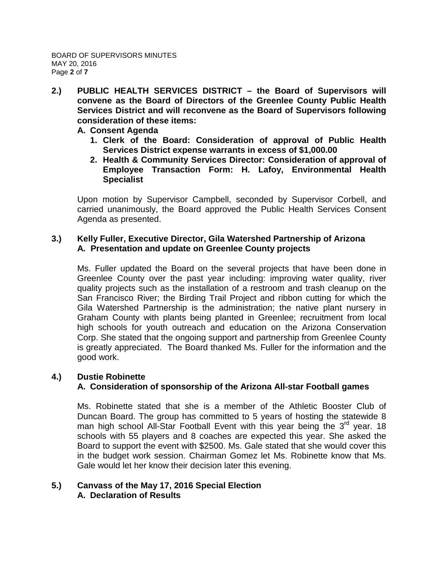- **2.) PUBLIC HEALTH SERVICES DISTRICT – the Board of Supervisors will convene as the Board of Directors of the Greenlee County Public Health Services District and will reconvene as the Board of Supervisors following consideration of these items:**
	- **A. Consent Agenda**
		- **1. Clerk of the Board: Consideration of approval of Public Health Services District expense warrants in excess of \$1,000.00**
		- **2. Health & Community Services Director: Consideration of approval of Employee Transaction Form: H. Lafoy, Environmental Health Specialist**

Upon motion by Supervisor Campbell, seconded by Supervisor Corbell, and carried unanimously, the Board approved the Public Health Services Consent Agenda as presented.

### **3.) Kelly Fuller, Executive Director, Gila Watershed Partnership of Arizona A. Presentation and update on Greenlee County projects**

Ms. Fuller updated the Board on the several projects that have been done in Greenlee County over the past year including: improving water quality, river quality projects such as the installation of a restroom and trash cleanup on the San Francisco River; the Birding Trail Project and ribbon cutting for which the Gila Watershed Partnership is the administration; the native plant nursery in Graham County with plants being planted in Greenlee; recruitment from local high schools for youth outreach and education on the Arizona Conservation Corp. She stated that the ongoing support and partnership from Greenlee County is greatly appreciated. The Board thanked Ms. Fuller for the information and the good work.

### **4.) Dustie Robinette**

### **A. Consideration of sponsorship of the Arizona All-star Football games**

Ms. Robinette stated that she is a member of the Athletic Booster Club of Duncan Board. The group has committed to 5 years of hosting the statewide 8 man high school All-Star Football Event with this year being the 3<sup>rd</sup> year. 18 schools with 55 players and 8 coaches are expected this year. She asked the Board to support the event with \$2500. Ms. Gale stated that she would cover this in the budget work session. Chairman Gomez let Ms. Robinette know that Ms. Gale would let her know their decision later this evening.

### **5.) Canvass of the May 17, 2016 Special Election A. Declaration of Results**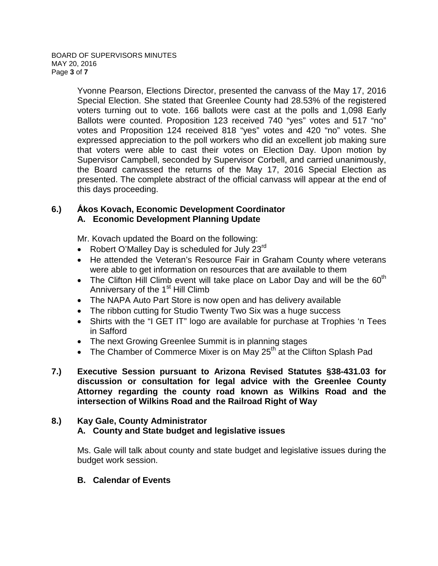Yvonne Pearson, Elections Director, presented the canvass of the May 17, 2016 Special Election. She stated that Greenlee County had 28.53% of the registered voters turning out to vote. 166 ballots were cast at the polls and 1,098 Early Ballots were counted. Proposition 123 received 740 "yes" votes and 517 "no" votes and Proposition 124 received 818 "yes" votes and 420 "no" votes. She expressed appreciation to the poll workers who did an excellent job making sure that voters were able to cast their votes on Election Day. Upon motion by Supervisor Campbell, seconded by Supervisor Corbell, and carried unanimously, the Board canvassed the returns of the May 17, 2016 Special Election as presented. The complete abstract of the official canvass will appear at the end of this days proceeding.

### **6.) Ấkos Kovach, Economic Development Coordinator A. Economic Development Planning Update**

Mr. Kovach updated the Board on the following:

- Robert O'Malley Day is scheduled for July 23rd
- He attended the Veteran's Resource Fair in Graham County where veterans were able to get information on resources that are available to them
- The Clifton Hill Climb event will take place on Labor Day and will be the  $60<sup>th</sup>$ Anniversary of the 1<sup>st</sup> Hill Climb
- The NAPA Auto Part Store is now open and has delivery available
- The ribbon cutting for Studio Twenty Two Six was a huge success
- Shirts with the "I GET IT" logo are available for purchase at Trophies 'n Tees in Safford
- The next Growing Greenlee Summit is in planning stages
- The Chamber of Commerce Mixer is on May 25<sup>th</sup> at the Clifton Splash Pad
- **7.) Executive Session pursuant to Arizona Revised Statutes §38-431.03 for discussion or consultation for legal advice with the Greenlee County Attorney regarding the county road known as Wilkins Road and the intersection of Wilkins Road and the Railroad Right of Way**

# **8.) Kay Gale, County Administrator A. County and State budget and legislative issues**

Ms. Gale will talk about county and state budget and legislative issues during the budget work session.

### **B. Calendar of Events**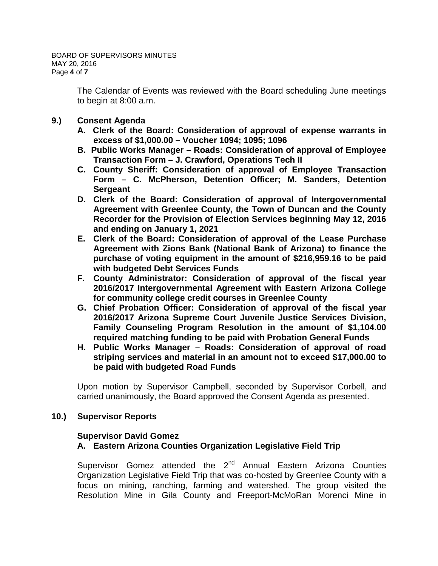The Calendar of Events was reviewed with the Board scheduling June meetings to begin at 8:00 a.m.

- **9.) Consent Agenda**
	- **A. Clerk of the Board: Consideration of approval of expense warrants in excess of \$1,000.00 – Voucher 1094; 1095; 1096**
	- **B. Public Works Manager – Roads: Consideration of approval of Employee Transaction Form – J. Crawford, Operations Tech II**
	- **C. County Sheriff: Consideration of approval of Employee Transaction Form – C. McPherson, Detention Officer; M. Sanders, Detention Sergeant**
	- **D. Clerk of the Board: Consideration of approval of Intergovernmental Agreement with Greenlee County, the Town of Duncan and the County Recorder for the Provision of Election Services beginning May 12, 2016 and ending on January 1, 2021**
	- **E. Clerk of the Board: Consideration of approval of the Lease Purchase Agreement with Zions Bank (National Bank of Arizona) to finance the purchase of voting equipment in the amount of \$216,959.16 to be paid with budgeted Debt Services Funds**
	- **F. County Administrator: Consideration of approval of the fiscal year 2016/2017 Intergovernmental Agreement with Eastern Arizona College for community college credit courses in Greenlee County**
	- **G. Chief Probation Officer: Consideration of approval of the fiscal year 2016/2017 Arizona Supreme Court Juvenile Justice Services Division, Family Counseling Program Resolution in the amount of \$1,104.00 required matching funding to be paid with Probation General Funds**
	- **H. Public Works Manager – Roads: Consideration of approval of road striping services and material in an amount not to exceed \$17,000.00 to be paid with budgeted Road Funds**

Upon motion by Supervisor Campbell, seconded by Supervisor Corbell, and carried unanimously, the Board approved the Consent Agenda as presented.

### **10.) Supervisor Reports**

### **Supervisor David Gomez**

# **A. Eastern Arizona Counties Organization Legislative Field Trip**

Supervisor Gomez attended the 2<sup>nd</sup> Annual Eastern Arizona Counties Organization Legislative Field Trip that was co-hosted by Greenlee County with a focus on mining, ranching, farming and watershed. The group visited the Resolution Mine in Gila County and Freeport-McMoRan Morenci Mine in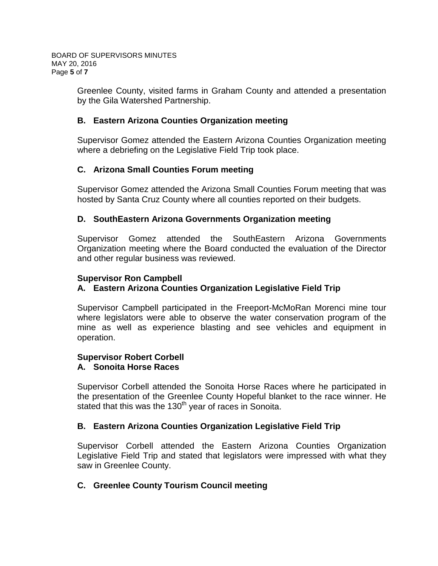Greenlee County, visited farms in Graham County and attended a presentation by the Gila Watershed Partnership.

### **B. Eastern Arizona Counties Organization meeting**

Supervisor Gomez attended the Eastern Arizona Counties Organization meeting where a debriefing on the Legislative Field Trip took place.

# **C. Arizona Small Counties Forum meeting**

Supervisor Gomez attended the Arizona Small Counties Forum meeting that was hosted by Santa Cruz County where all counties reported on their budgets.

### **D. SouthEastern Arizona Governments Organization meeting**

Supervisor Gomez attended the SouthEastern Arizona Governments Organization meeting where the Board conducted the evaluation of the Director and other regular business was reviewed.

### **Supervisor Ron Campbell**

# **A. Eastern Arizona Counties Organization Legislative Field Trip**

Supervisor Campbell participated in the Freeport-McMoRan Morenci mine tour where legislators were able to observe the water conservation program of the mine as well as experience blasting and see vehicles and equipment in operation.

# **Supervisor Robert Corbell**

# **A. Sonoita Horse Races**

Supervisor Corbell attended the Sonoita Horse Races where he participated in the presentation of the Greenlee County Hopeful blanket to the race winner. He stated that this was the 130<sup>th</sup> year of races in Sonoita.

### **B. Eastern Arizona Counties Organization Legislative Field Trip**

Supervisor Corbell attended the Eastern Arizona Counties Organization Legislative Field Trip and stated that legislators were impressed with what they saw in Greenlee County.

### **C. Greenlee County Tourism Council meeting**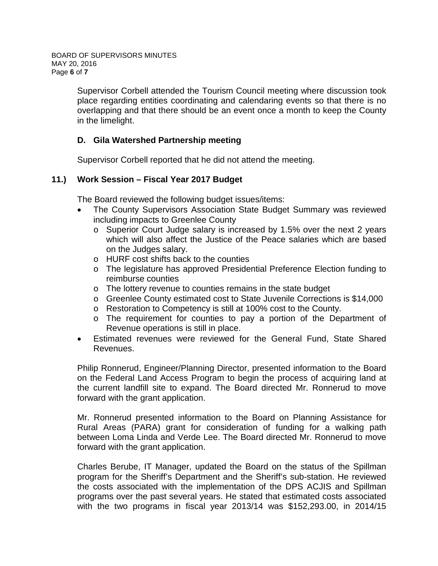Supervisor Corbell attended the Tourism Council meeting where discussion took place regarding entities coordinating and calendaring events so that there is no overlapping and that there should be an event once a month to keep the County in the limelight.

# **D. Gila Watershed Partnership meeting**

Supervisor Corbell reported that he did not attend the meeting.

### **11.) Work Session – Fiscal Year 2017 Budget**

The Board reviewed the following budget issues/items:

- The County Supervisors Association State Budget Summary was reviewed including impacts to Greenlee County
	- o Superior Court Judge salary is increased by 1.5% over the next 2 years which will also affect the Justice of the Peace salaries which are based on the Judges salary.
	- o HURF cost shifts back to the counties
	- o The legislature has approved Presidential Preference Election funding to reimburse counties
	- o The lottery revenue to counties remains in the state budget
	- o Greenlee County estimated cost to State Juvenile Corrections is \$14,000
	- o Restoration to Competency is still at 100% cost to the County.
	- o The requirement for counties to pay a portion of the Department of Revenue operations is still in place.
- Estimated revenues were reviewed for the General Fund, State Shared Revenues.

Philip Ronnerud, Engineer/Planning Director, presented information to the Board on the Federal Land Access Program to begin the process of acquiring land at the current landfill site to expand. The Board directed Mr. Ronnerud to move forward with the grant application.

Mr. Ronnerud presented information to the Board on Planning Assistance for Rural Areas (PARA) grant for consideration of funding for a walking path between Loma Linda and Verde Lee. The Board directed Mr. Ronnerud to move forward with the grant application.

Charles Berube, IT Manager, updated the Board on the status of the Spillman program for the Sheriff's Department and the Sheriff's sub-station. He reviewed the costs associated with the implementation of the DPS ACJIS and Spillman programs over the past several years. He stated that estimated costs associated with the two programs in fiscal year 2013/14 was \$152,293.00, in 2014/15